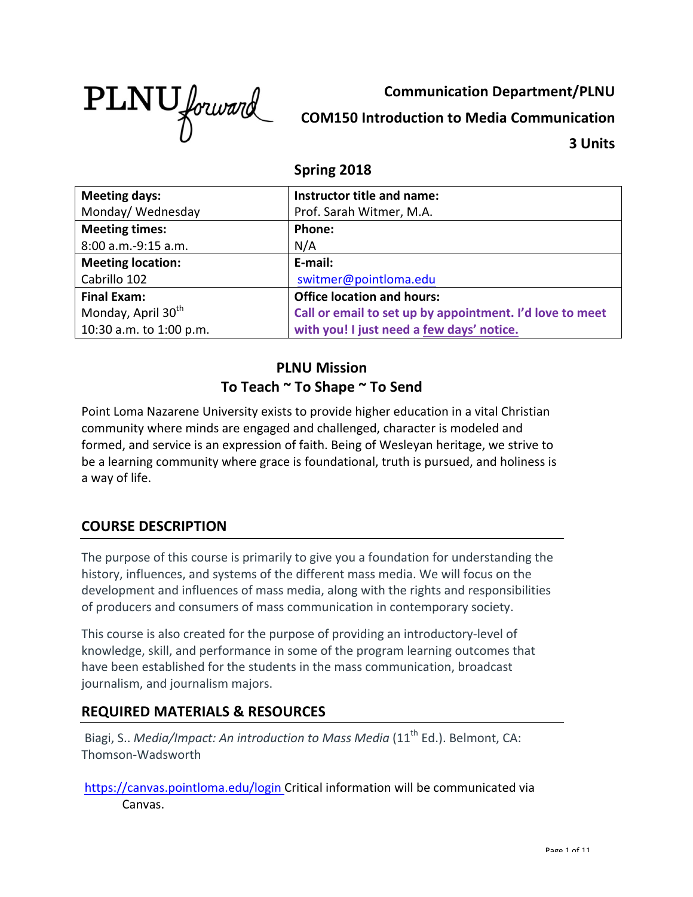

**Communication Department/PLNU COM150 Introduction to Media Communication 3 Units**

## **Spring 2018**

| <b>Meeting days:</b>           | Instructor title and name:                               |
|--------------------------------|----------------------------------------------------------|
| Monday/Wednesday               | Prof. Sarah Witmer, M.A.                                 |
| <b>Meeting times:</b>          | <b>Phone:</b>                                            |
| 8:00 a.m.-9:15 a.m.            | N/A                                                      |
| <b>Meeting location:</b>       | E-mail:                                                  |
| Cabrillo 102                   | switmer@pointloma.edu                                    |
| <b>Final Exam:</b>             | <b>Office location and hours:</b>                        |
| Monday, April 30 <sup>th</sup> | Call or email to set up by appointment. I'd love to meet |
| 10:30 a.m. to 1:00 p.m.        | with you! I just need a few days' notice.                |

## **PLNU Mission** To Teach ~ To Shape ~ To Send

Point Loma Nazarene University exists to provide higher education in a vital Christian community where minds are engaged and challenged, character is modeled and formed, and service is an expression of faith. Being of Wesleyan heritage, we strive to be a learning community where grace is foundational, truth is pursued, and holiness is a way of life.

## **COURSE DESCRIPTION**

The purpose of this course is primarily to give you a foundation for understanding the history, influences, and systems of the different mass media. We will focus on the development and influences of mass media, along with the rights and responsibilities of producers and consumers of mass communication in contemporary society.

This course is also created for the purpose of providing an introductory-level of knowledge, skill, and performance in some of the program learning outcomes that have been established for the students in the mass communication, broadcast journalism, and journalism majors.

## **REQUIRED MATERIALS & RESOURCES**

Biagi, S.. *Media/Impact: An introduction to Mass Media* (11<sup>th</sup> Ed.). Belmont, CA: Thomson-Wadsworth

https://canvas.pointloma.edu/login Critical information will be communicated via Canvas.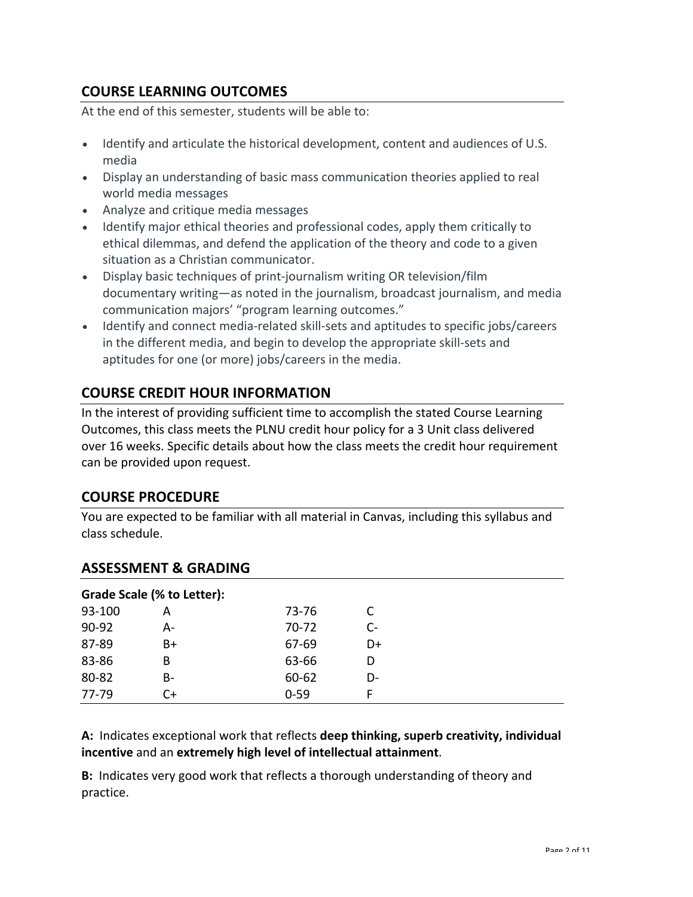## **COURSE LEARNING OUTCOMES**

At the end of this semester, students will be able to:

- Identify and articulate the historical development, content and audiences of U.S. media
- Display an understanding of basic mass communication theories applied to real world media messages
- Analyze and critique media messages
- Identify major ethical theories and professional codes, apply them critically to ethical dilemmas, and defend the application of the theory and code to a given situation as a Christian communicator.
- Display basic techniques of print-journalism writing OR television/film documentary writing—as noted in the journalism, broadcast journalism, and media communication majors' "program learning outcomes."
- Identify and connect media-related skill-sets and aptitudes to specific jobs/careers in the different media, and begin to develop the appropriate skill-sets and aptitudes for one (or more) jobs/careers in the media.

## **COURSE CREDIT HOUR INFORMATION**

In the interest of providing sufficient time to accomplish the stated Course Learning Outcomes, this class meets the PLNU credit hour policy for a 3 Unit class delivered over 16 weeks. Specific details about how the class meets the credit hour requirement can be provided upon request.

## **COURSE PROCEDURE**

You are expected to be familiar with all material in Canvas, including this syllabus and class schedule. 

## **ASSESSMENT & GRADING**

| Grade Scale (% to Letter): |    |          |    |
|----------------------------|----|----------|----|
| 93-100                     |    | 73-76    |    |
| 90-92                      | А- | 70-72    | C- |
| 87-89                      | B+ | 67-69    | D+ |
| 83-86                      | B  | 63-66    |    |
| 80-82                      | B- | 60-62    | D- |
| 77-79                      | C+ | $0 - 59$ | F  |

### A: Indicates exceptional work that reflects **deep thinking, superb creativity, individual incentive** and an extremely high level of intellectual attainment.

**B:** Indicates very good work that reflects a thorough understanding of theory and practice.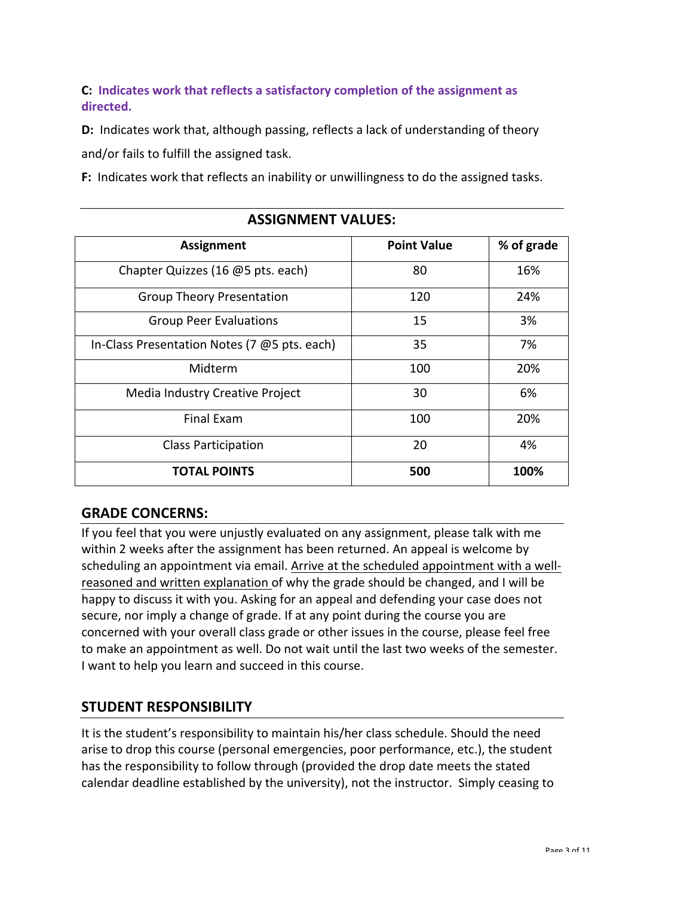**C:** Indicates work that reflects a satisfactory completion of the assignment as **directed.**

**D:** Indicates work that, although passing, reflects a lack of understanding of theory and/or fails to fulfill the assigned task.

**F:** Indicates work that reflects an inability or unwillingness to do the assigned tasks.

| <b>Assignment</b>                            | <b>Point Value</b> | % of grade |
|----------------------------------------------|--------------------|------------|
| Chapter Quizzes (16 @5 pts. each)            | 80                 | 16%        |
| <b>Group Theory Presentation</b>             | 120                | 24%        |
| <b>Group Peer Evaluations</b>                | 15                 | 3%         |
| In-Class Presentation Notes (7 @5 pts. each) | 35                 | 7%         |
| Midterm                                      | 100                | 20%        |
| Media Industry Creative Project              | 30                 | 6%         |
| <b>Final Exam</b>                            | 100                | 20%        |
| <b>Class Participation</b>                   | 20                 | 4%         |
| <b>TOTAL POINTS</b>                          | 500                | 100%       |

### **ASSIGNMENT VALUES:**

### **GRADE CONCERNS:**

If you feel that you were unjustly evaluated on any assignment, please talk with me within 2 weeks after the assignment has been returned. An appeal is welcome by scheduling an appointment via email. Arrive at the scheduled appointment with a wellreasoned and written explanation of why the grade should be changed, and I will be happy to discuss it with you. Asking for an appeal and defending your case does not secure, nor imply a change of grade. If at any point during the course you are concerned with your overall class grade or other issues in the course, please feel free to make an appointment as well. Do not wait until the last two weeks of the semester. I want to help you learn and succeed in this course.

### **STUDENT RESPONSIBILITY**

It is the student's responsibility to maintain his/her class schedule. Should the need arise to drop this course (personal emergencies, poor performance, etc.), the student has the responsibility to follow through (provided the drop date meets the stated calendar deadline established by the university), not the instructor. Simply ceasing to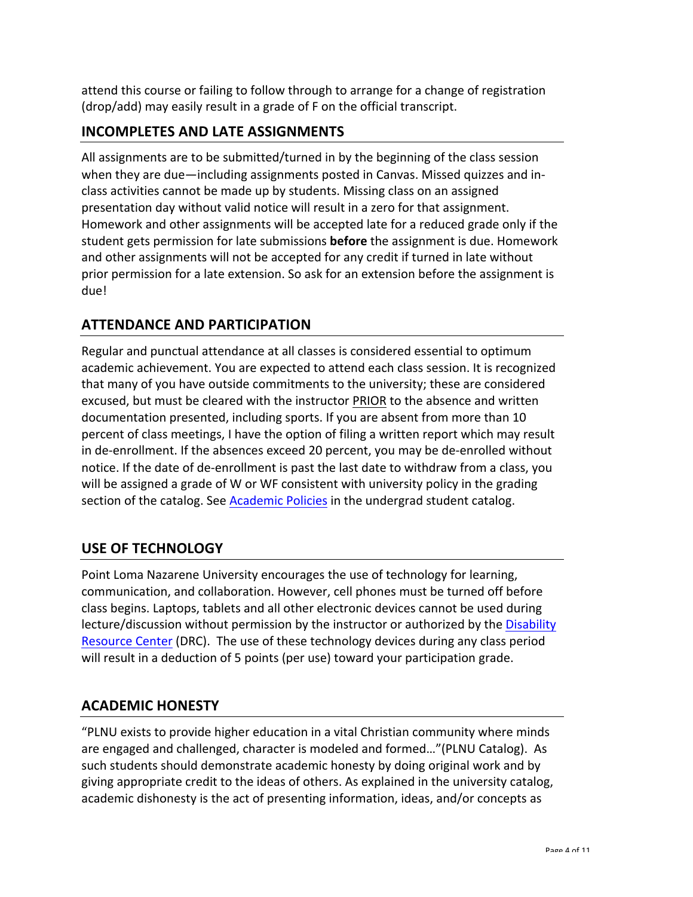attend this course or failing to follow through to arrange for a change of registration (drop/add) may easily result in a grade of F on the official transcript.

## **INCOMPLETES AND LATE ASSIGNMENTS**

All assignments are to be submitted/turned in by the beginning of the class session when they are due—including assignments posted in Canvas. Missed quizzes and inclass activities cannot be made up by students. Missing class on an assigned presentation day without valid notice will result in a zero for that assignment. Homework and other assignments will be accepted late for a reduced grade only if the student gets permission for late submissions **before** the assignment is due. Homework and other assignments will not be accepted for any credit if turned in late without prior permission for a late extension. So ask for an extension before the assignment is due!

## **ATTENDANCE AND PARTICIPATION**

Regular and punctual attendance at all classes is considered essential to optimum academic achievement. You are expected to attend each class session. It is recognized that many of you have outside commitments to the university; these are considered excused, but must be cleared with the instructor PRIOR to the absence and written documentation presented, including sports. If you are absent from more than 10 percent of class meetings, I have the option of filing a written report which may result in de-enrollment. If the absences exceed 20 percent, you may be de-enrolled without notice. If the date of de-enrollment is past the last date to withdraw from a class, you will be assigned a grade of W or WF consistent with university policy in the grading section of the catalog. See Academic Policies in the undergrad student catalog.

## **USE OF TECHNOLOGY**

Point Loma Nazarene University encourages the use of technology for learning, communication, and collaboration. However, cell phones must be turned off before class begins. Laptops, tablets and all other electronic devices cannot be used during lecture/discussion without permission by the instructor or authorized by the Disability Resource Center (DRC). The use of these technology devices during any class period will result in a deduction of 5 points (per use) toward your participation grade.

## **ACADEMIC HONESTY**

"PLNU exists to provide higher education in a vital Christian community where minds are engaged and challenged, character is modeled and formed..."(PLNU Catalog). As such students should demonstrate academic honesty by doing original work and by giving appropriate credit to the ideas of others. As explained in the university catalog, academic dishonesty is the act of presenting information, ideas, and/or concepts as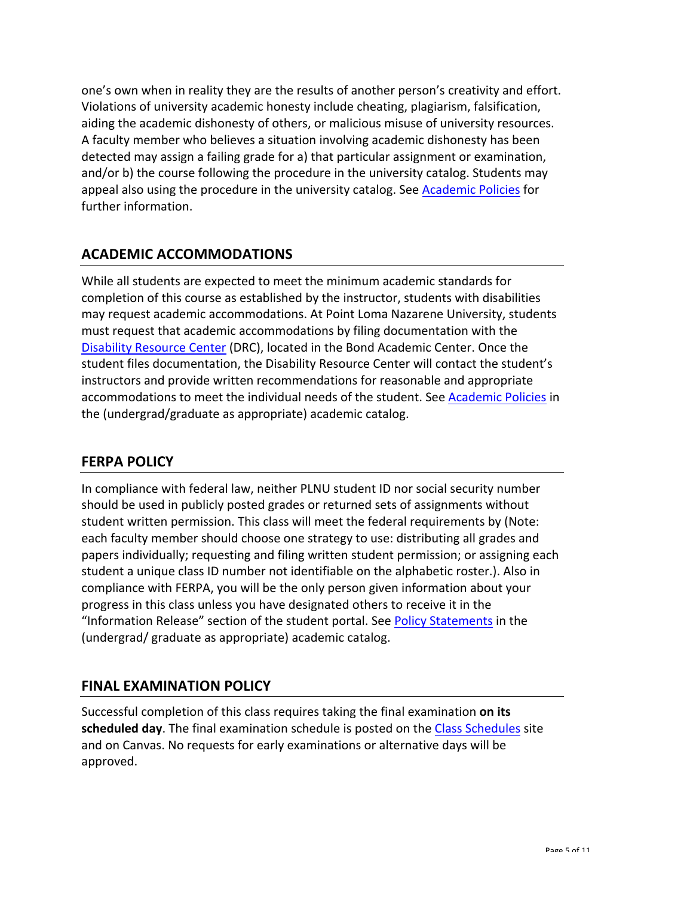one's own when in reality they are the results of another person's creativity and effort. Violations of university academic honesty include cheating, plagiarism, falsification, aiding the academic dishonesty of others, or malicious misuse of university resources. A faculty member who believes a situation involving academic dishonesty has been detected may assign a failing grade for a) that particular assignment or examination, and/or b) the course following the procedure in the university catalog. Students may appeal also using the procedure in the university catalog. See Academic Policies for further information.

# **ACADEMIC ACCOMMODATIONS**

While all students are expected to meet the minimum academic standards for completion of this course as established by the instructor, students with disabilities may request academic accommodations. At Point Loma Nazarene University, students must request that academic accommodations by filing documentation with the Disability Resource Center (DRC), located in the Bond Academic Center. Once the student files documentation, the Disability Resource Center will contact the student's instructors and provide written recommendations for reasonable and appropriate accommodations to meet the individual needs of the student. See Academic Policies in the (undergrad/graduate as appropriate) academic catalog.

## **FERPA POLICY**

In compliance with federal law, neither PLNU student ID nor social security number should be used in publicly posted grades or returned sets of assignments without student written permission. This class will meet the federal requirements by (Note: each faculty member should choose one strategy to use: distributing all grades and papers individually; requesting and filing written student permission; or assigning each student a unique class ID number not identifiable on the alphabetic roster.). Also in compliance with FERPA, you will be the only person given information about your progress in this class unless you have designated others to receive it in the "Information Release" section of the student portal. See Policy Statements in the (undergrad/ graduate as appropriate) academic catalog.

## **FINAL EXAMINATION POLICY**

Successful completion of this class requires taking the final examination **on its scheduled day**. The final examination schedule is posted on the Class Schedules site and on Canvas. No requests for early examinations or alternative days will be approved.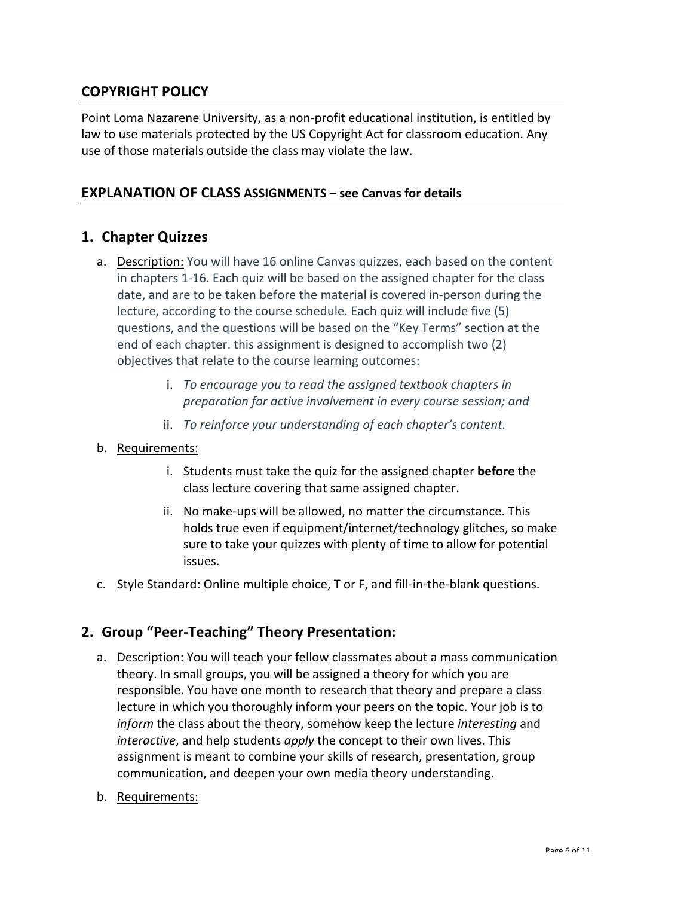## **COPYRIGHT POLICY**

Point Loma Nazarene University, as a non-profit educational institution, is entitled by law to use materials protected by the US Copyright Act for classroom education. Any use of those materials outside the class may violate the law.

#### **EXPLANATION OF CLASS ASSIGNMENTS – see Canvas for details**

### **1. Chapter Quizzes**

- a. Description: You will have 16 online Canvas quizzes, each based on the content in chapters 1-16. Each quiz will be based on the assigned chapter for the class date, and are to be taken before the material is covered in-person during the lecture, according to the course schedule. Each quiz will include five (5) questions, and the questions will be based on the "Key Terms" section at the end of each chapter. this assignment is designed to accomplish two (2) objectives that relate to the course learning outcomes:
	- i. To encourage you to read the assigned textbook chapters in *preparation for active involvement in every course session; and*
	- ii. *To reinforce your understanding of each chapter's content.*
- b. Requirements:
	- i. Students must take the quiz for the assigned chapter **before** the class lecture covering that same assigned chapter.
	- ii. No make-ups will be allowed, no matter the circumstance. This holds true even if equipment/internet/technology glitches, so make sure to take your quizzes with plenty of time to allow for potential issues.
- c. Style Standard: Online multiple choice, T or F, and fill-in-the-blank questions.

### **2. Group "Peer-Teaching" Theory Presentation:**

- a. Description: You will teach your fellow classmates about a mass communication theory. In small groups, you will be assigned a theory for which you are responsible. You have one month to research that theory and prepare a class lecture in which you thoroughly inform your peers on the topic. Your job is to *inform* the class about the theory, somehow keep the lecture *interesting* and *interactive*, and help students *apply* the concept to their own lives. This assignment is meant to combine your skills of research, presentation, group communication, and deepen your own media theory understanding.
- b. Requirements: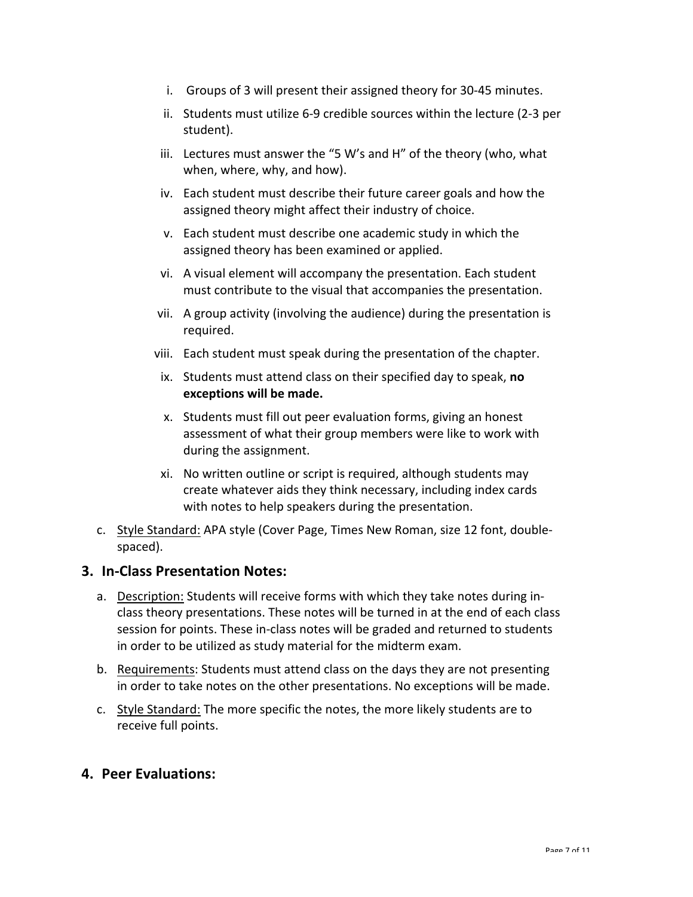- i. Groups of 3 will present their assigned theory for 30-45 minutes.
- ii. Students must utilize 6-9 credible sources within the lecture (2-3 per student).
- iii. Lectures must answer the "5 W's and H" of the theory (who, what when, where, why, and how).
- iv. Each student must describe their future career goals and how the assigned theory might affect their industry of choice.
- v. Each student must describe one academic study in which the assigned theory has been examined or applied.
- vi. A visual element will accompany the presentation. Each student must contribute to the visual that accompanies the presentation.
- vii. A group activity (involving the audience) during the presentation is required.
- viii. Each student must speak during the presentation of the chapter.
- ix. Students must attend class on their specified day to speak, **no exceptions** will be made.
- x. Students must fill out peer evaluation forms, giving an honest assessment of what their group members were like to work with during the assignment.
- xi. No written outline or script is required, although students may create whatever aids they think necessary, including index cards with notes to help speakers during the presentation.
- c. Style Standard: APA style (Cover Page, Times New Roman, size 12 font, doublespaced).

### **3. In-Class Presentation Notes:**

- a. Description: Students will receive forms with which they take notes during inclass theory presentations. These notes will be turned in at the end of each class session for points. These in-class notes will be graded and returned to students in order to be utilized as study material for the midterm exam.
- b. Requirements: Students must attend class on the days they are not presenting in order to take notes on the other presentations. No exceptions will be made.
- c. Style Standard: The more specific the notes, the more likely students are to receive full points.

### **4. Peer Evaluations:**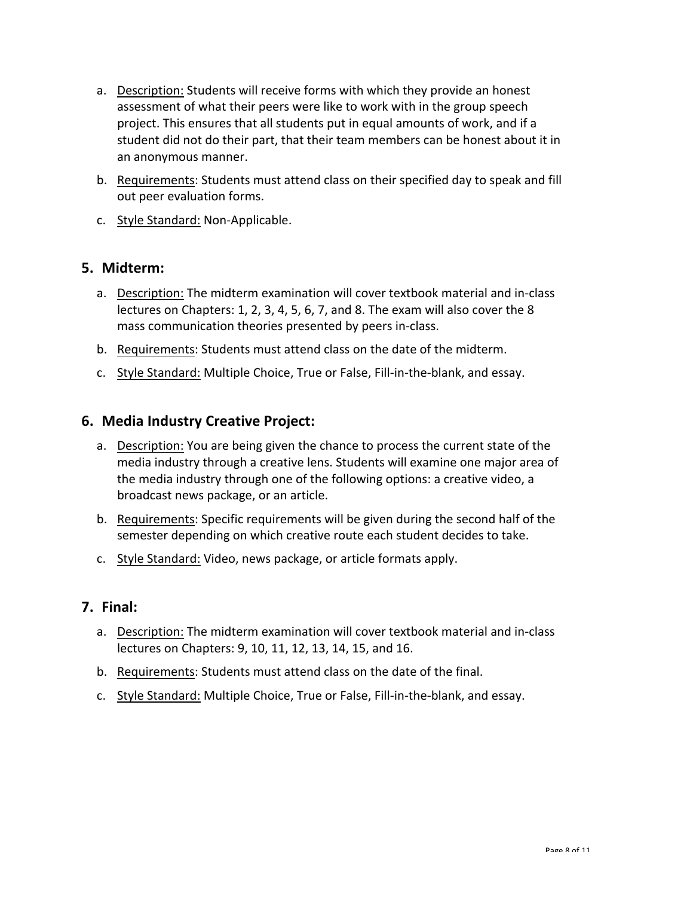- a. Description: Students will receive forms with which they provide an honest assessment of what their peers were like to work with in the group speech project. This ensures that all students put in equal amounts of work, and if a student did not do their part, that their team members can be honest about it in an anonymous manner.
- b. Requirements: Students must attend class on their specified day to speak and fill out peer evaluation forms.
- c. Style Standard: Non-Applicable.

#### **5. Midterm:**

- a. Description: The midterm examination will cover textbook material and in-class lectures on Chapters: 1, 2, 3, 4, 5, 6, 7, and 8. The exam will also cover the 8 mass communication theories presented by peers in-class.
- b. Requirements: Students must attend class on the date of the midterm.
- c. Style Standard: Multiple Choice, True or False, Fill-in-the-blank, and essay.

### **6. Media Industry Creative Project:**

- a. Description: You are being given the chance to process the current state of the media industry through a creative lens. Students will examine one major area of the media industry through one of the following options: a creative video, a broadcast news package, or an article.
- b. Requirements: Specific requirements will be given during the second half of the semester depending on which creative route each student decides to take.
- c. Style Standard: Video, news package, or article formats apply.

### **7. Final:**

- a. Description: The midterm examination will cover textbook material and in-class lectures on Chapters: 9, 10, 11, 12, 13, 14, 15, and 16.
- b. Requirements: Students must attend class on the date of the final.
- c. Style Standard: Multiple Choice, True or False, Fill-in-the-blank, and essay.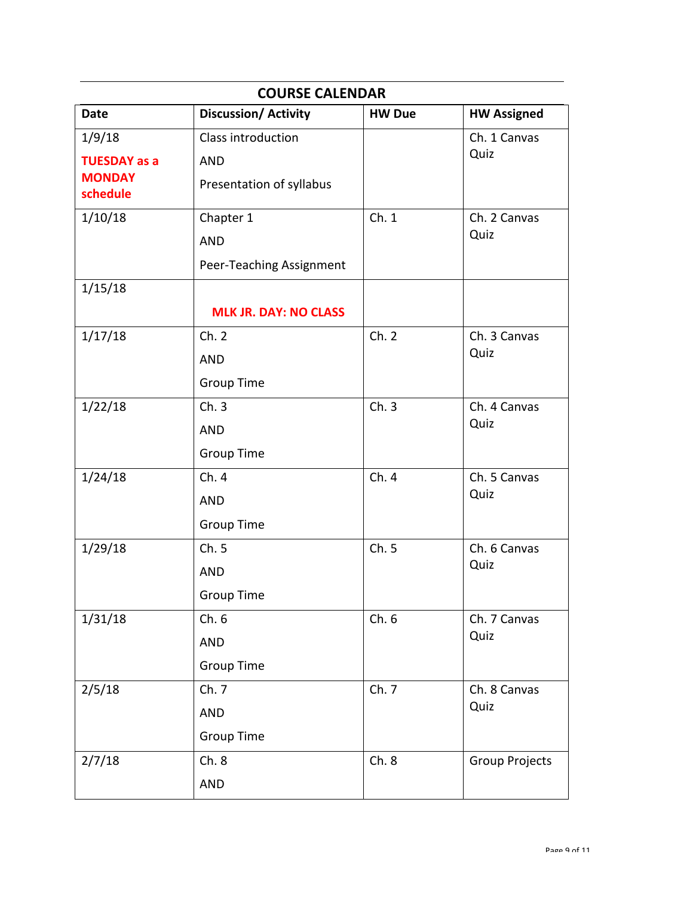| <b>COURSE CALENDAR</b>    |                              |               |                       |
|---------------------------|------------------------------|---------------|-----------------------|
| <b>Date</b>               | <b>Discussion/Activity</b>   | <b>HW Due</b> | <b>HW Assigned</b>    |
| 1/9/18                    | Class introduction           |               | Ch. 1 Canvas          |
| <b>TUESDAY as a</b>       | <b>AND</b>                   |               | Quiz                  |
| <b>MONDAY</b><br>schedule | Presentation of syllabus     |               |                       |
| 1/10/18                   | Chapter 1                    | Ch.1          | Ch. 2 Canvas          |
|                           | <b>AND</b>                   |               | Quiz                  |
|                           | Peer-Teaching Assignment     |               |                       |
| 1/15/18                   |                              |               |                       |
|                           | <b>MLK JR. DAY: NO CLASS</b> |               |                       |
| 1/17/18                   | Ch. 2                        | Ch. 2         | Ch. 3 Canvas          |
|                           | <b>AND</b>                   |               | Quiz                  |
|                           | <b>Group Time</b>            |               |                       |
| 1/22/18                   | Ch.3                         | Ch.3          | Ch. 4 Canvas          |
|                           | <b>AND</b>                   |               | Quiz                  |
|                           | <b>Group Time</b>            |               |                       |
| 1/24/18                   | Ch. 4                        | Ch.4          | Ch. 5 Canvas          |
|                           | <b>AND</b>                   |               | Quiz                  |
|                           | <b>Group Time</b>            |               |                       |
| 1/29/18                   | Ch.5                         | Ch.5          | Ch. 6 Canvas          |
|                           | <b>AND</b>                   |               | Quiz                  |
|                           | <b>Group Time</b>            |               |                       |
| 1/31/18                   | Ch.6                         | Ch.6          | Ch. 7 Canvas          |
|                           | <b>AND</b>                   |               | Quiz                  |
|                           | <b>Group Time</b>            |               |                       |
| 2/5/18                    | Ch. 7                        | Ch. 7         | Ch. 8 Canvas          |
|                           | <b>AND</b>                   |               | Quiz                  |
|                           | <b>Group Time</b>            |               |                       |
| 2/7/18                    | Ch.8                         | Ch.8          | <b>Group Projects</b> |
|                           | <b>AND</b>                   |               |                       |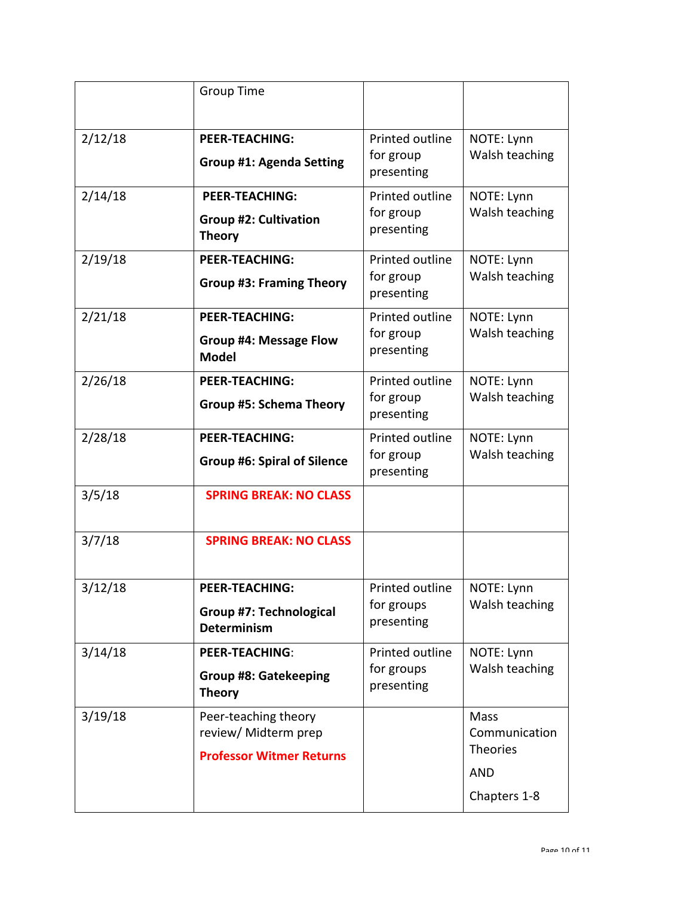|         | <b>Group Time</b>                                                               |                                                   |                                                                        |
|---------|---------------------------------------------------------------------------------|---------------------------------------------------|------------------------------------------------------------------------|
| 2/12/18 | <b>PEER-TEACHING:</b><br><b>Group #1: Agenda Setting</b>                        | Printed outline<br>for group<br>presenting        | NOTE: Lynn<br>Walsh teaching                                           |
| 2/14/18 | <b>PEER-TEACHING:</b><br><b>Group #2: Cultivation</b><br><b>Theory</b>          | Printed outline<br>for group<br>presenting        | NOTE: Lynn<br>Walsh teaching                                           |
| 2/19/18 | <b>PEER-TEACHING:</b><br><b>Group #3: Framing Theory</b>                        | Printed outline<br>for group<br>presenting        | NOTE: Lynn<br>Walsh teaching                                           |
| 2/21/18 | <b>PEER-TEACHING:</b><br><b>Group #4: Message Flow</b><br><b>Model</b>          | <b>Printed outline</b><br>for group<br>presenting | NOTE: Lynn<br>Walsh teaching                                           |
| 2/26/18 | <b>PEER-TEACHING:</b><br><b>Group #5: Schema Theory</b>                         | Printed outline<br>for group<br>presenting        | NOTE: Lynn<br>Walsh teaching                                           |
| 2/28/18 | <b>PEER-TEACHING:</b><br><b>Group #6: Spiral of Silence</b>                     | Printed outline<br>for group<br>presenting        | NOTE: Lynn<br>Walsh teaching                                           |
| 3/5/18  | <b>SPRING BREAK: NO CLASS</b>                                                   |                                                   |                                                                        |
| 3/7/18  | <b>SPRING BREAK: NO CLASS</b>                                                   |                                                   |                                                                        |
| 3/12/18 | <b>PEER-TEACHING:</b><br><b>Group #7: Technological</b><br><b>Determinism</b>   | Printed outline<br>for groups<br>presenting       | NOTE: Lynn<br>Walsh teaching                                           |
| 3/14/18 | <b>PEER-TEACHING:</b><br><b>Group #8: Gatekeeping</b><br><b>Theory</b>          | Printed outline<br>for groups<br>presenting       | NOTE: Lynn<br>Walsh teaching                                           |
| 3/19/18 | Peer-teaching theory<br>review/ Midterm prep<br><b>Professor Witmer Returns</b> |                                                   | Mass<br>Communication<br><b>Theories</b><br><b>AND</b><br>Chapters 1-8 |